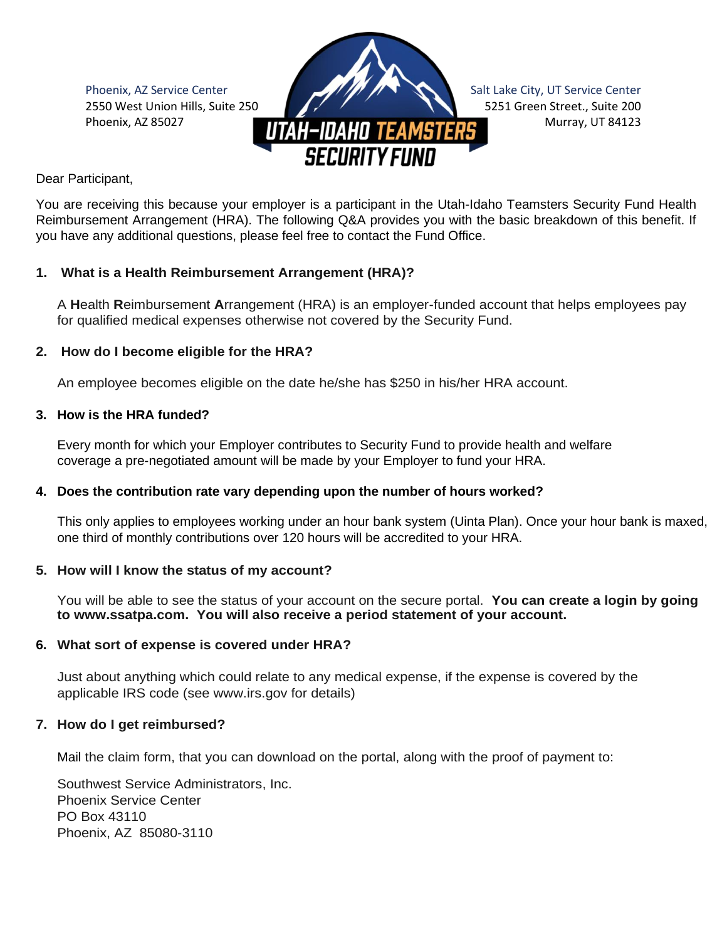

Dear Participant,

You are receiving this because your employer is a participant in the Utah-Idaho Teamsters Security Fund Health Reimbursement Arrangement (HRA). The following Q&A provides you with the basic breakdown of this benefit. If you have any additional questions, please feel free to contact the Fund Office.

# **1. What is a Health Reimbursement Arrangement (HRA)?**

A **H**ealth **R**eimbursement **A**rrangement (HRA) is an employer-funded account that helps employees pay for qualified medical expenses otherwise not covered by the Security Fund.

## **2. How do I become eligible for the HRA?**

An employee becomes eligible on the date he/she has \$250 in his/her HRA account.

## **3. How is the HRA funded?**

Every month for which your Employer contributes to Security Fund to provide health and welfare coverage a pre-negotiated amount will be made by your Employer to fund your HRA.

## **4. Does the contribution rate vary depending upon the number of hours worked?**

This only applies to employees working under an hour bank system (Uinta Plan). Once your hour bank is maxed, one third of monthly contributions over 120 hours will be accredited to your HRA.

## **5. How will I know the status of my account?**

You will be able to see the status of your account on the secure portal. **You can create a login by going to www.ssatpa.com. You will also receive a period statement of your account.**

# **6. What sort of expense is covered under HRA?**

Just about anything which could relate to any medical expense, if the expense is covered by the applicable IRS code (see www.irs.gov for details)

# **7. How do I get reimbursed?**

Mail the claim form, that you can download on the portal, along with the proof of payment to:

Southwest Service Administrators, Inc. Phoenix Service Center PO Box 43110 Phoenix, AZ 85080-3110